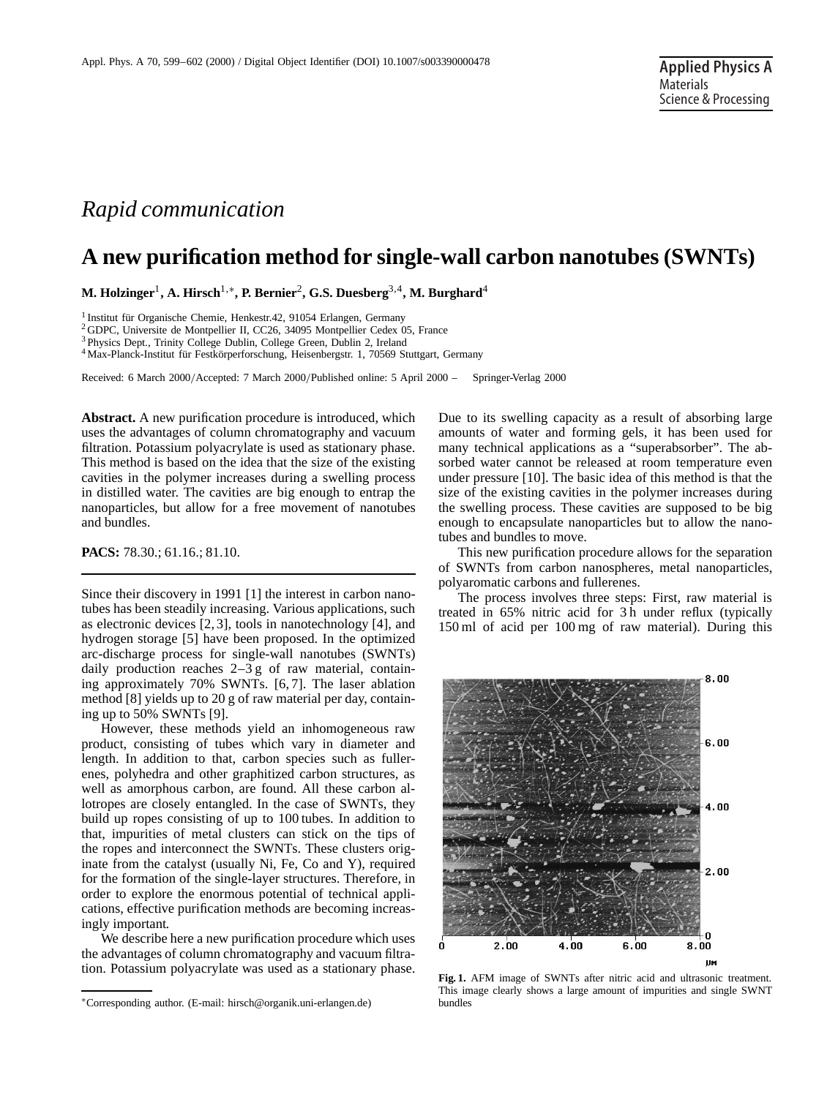## *Rapid communication*

## **A new purification method for single-wall carbon nanotubes (SWNTs)**

**M. Holzinger**1**, A. Hirsch**1,∗**, P. Bernier**2**, G.S. Duesberg**3,4**, M. Burghard**<sup>4</sup>

<sup>1</sup> Institut für Organische Chemie, Henkestr.42, 91054 Erlangen, Germany

<sup>2</sup> GDPC, Universite de Montpellier II, CC26, 34095 Montpellier Cedex 05, France

<sup>3</sup> Physics Dept., Trinity College Dublin, College Green, Dublin 2, Ireland

<sup>4</sup> Max-Planck-Institut für Festkörperforschung, Heisenbergstr. 1, 70569 Stuttgart, Germany

Received: 6 March 2000/Accepted: 7 March 2000/Published online: 5 April 2000 – © Springer-Verlag 2000

**Abstract.** A new purification procedure is introduced, which uses the advantages of column chromatography and vacuum filtration. Potassium polyacrylate is used as stationary phase. This method is based on the idea that the size of the existing cavities in the polymer increases during a swelling process in distilled water. The cavities are big enough to entrap the nanoparticles, but allow for a free movement of nanotubes and bundles.

**PACS:** 78.30.; 61.16.; 81.10.

Since their discovery in 1991 [1] the interest in carbon nanotubes has been steadily increasing. Various applications, such as electronic devices [2, 3], tools in nanotechnology [4], and hydrogen storage [5] have been proposed. In the optimized arc-discharge process for single-wall nanotubes (SWNTs) daily production reaches 2–3 g of raw material, containing approximately 70% SWNTs. [6, 7]. The laser ablation method [8] yields up to 20 g of raw material per day, containing up to 50% SWNTs [9].

However, these methods yield an inhomogeneous raw product, consisting of tubes which vary in diameter and length. In addition to that, carbon species such as fullerenes, polyhedra and other graphitized carbon structures, as well as amorphous carbon, are found. All these carbon allotropes are closely entangled. In the case of SWNTs, they build up ropes consisting of up to 100 tubes. In addition to that, impurities of metal clusters can stick on the tips of the ropes and interconnect the SWNTs. These clusters originate from the catalyst (usually Ni, Fe, Co and Y), required for the formation of the single-layer structures. Therefore, in order to explore the enormous potential of technical applications, effective purification methods are becoming increasingly important.

We describe here a new purification procedure which uses the advantages of column chromatography and vacuum filtration. Potassium polyacrylate was used as a stationary phase.

Due to its swelling capacity as a result of absorbing large amounts of water and forming gels, it has been used for many technical applications as a "superabsorber". The absorbed water cannot be released at room temperature even under pressure [10]. The basic idea of this method is that the size of the existing cavities in the polymer increases during the swelling process. These cavities are supposed to be big enough to encapsulate nanoparticles but to allow the nanotubes and bundles to move.

This new purification procedure allows for the separation of SWNTs from carbon nanospheres, metal nanoparticles, polyaromatic carbons and fullerenes.

The process involves three steps: First, raw material is treated in 65% nitric acid for 3 h under reflux (typically 150 ml of acid per 100 mg of raw material). During this



**Fig. 1.** AFM image of SWNTs after nitric acid and ultrasonic treatment. This image clearly shows a large amount of impurities and single SWNT bundles

<sup>∗</sup>Corresponding author. (E-mail: hirsch@organik.uni-erlangen.de)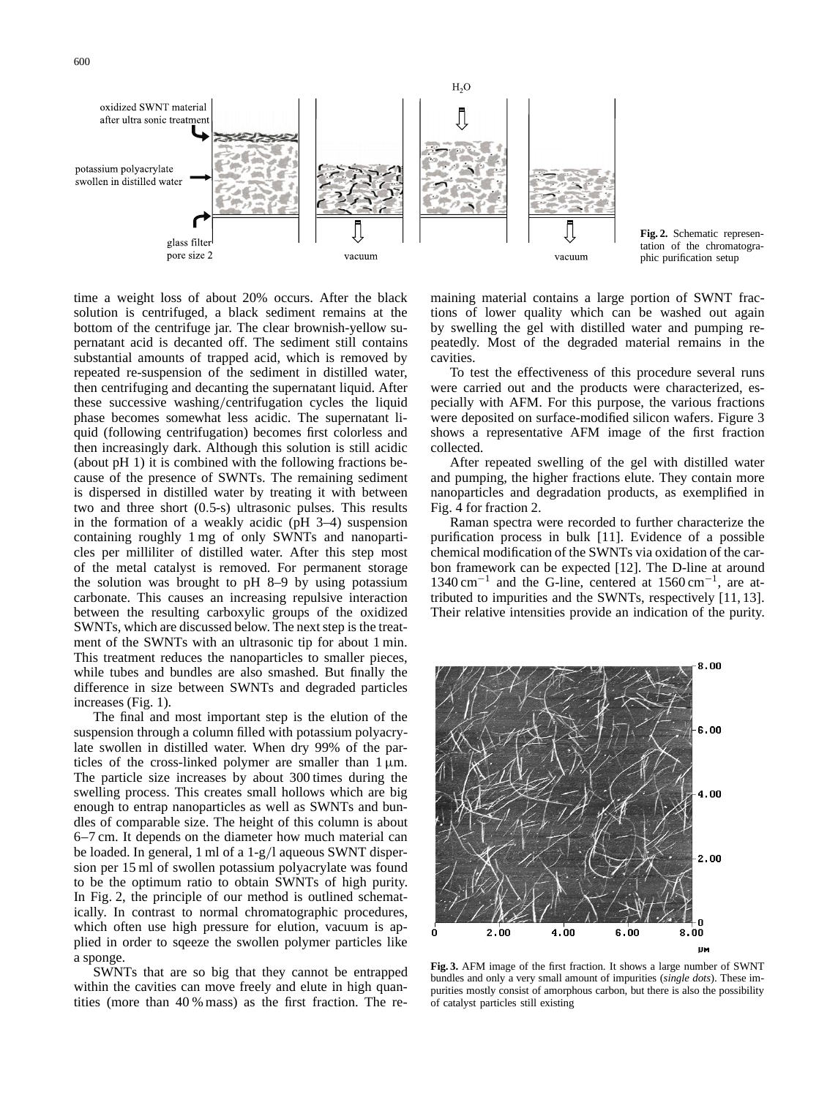

**Fig. 2.** Schematic representation of the chromatographic purification setup

time a weight loss of about 20% occurs. After the black solution is centrifuged, a black sediment remains at the bottom of the centrifuge jar. The clear brownish-yellow supernatant acid is decanted off. The sediment still contains substantial amounts of trapped acid, which is removed by repeated re-suspension of the sediment in distilled water, then centrifuging and decanting the supernatant liquid. After these successive washing/centrifugation cycles the liquid phase becomes somewhat less acidic. The supernatant liquid (following centrifugation) becomes first colorless and then increasingly dark. Although this solution is still acidic (about pH 1) it is combined with the following fractions because of the presence of SWNTs. The remaining sediment is dispersed in distilled water by treating it with between two and three short (0.5-s) ultrasonic pulses. This results in the formation of a weakly acidic (pH 3–4) suspension containing roughly 1 mg of only SWNTs and nanoparticles per milliliter of distilled water. After this step most of the metal catalyst is removed. For permanent storage the solution was brought to pH 8–9 by using potassium carbonate. This causes an increasing repulsive interaction between the resulting carboxylic groups of the oxidized SWNTs, which are discussed below. The next step is the treatment of the SWNTs with an ultrasonic tip for about 1 min. This treatment reduces the nanoparticles to smaller pieces, while tubes and bundles are also smashed. But finally the difference in size between SWNTs and degraded particles increases (Fig. 1).

The final and most important step is the elution of the suspension through a column filled with potassium polyacrylate swollen in distilled water. When dry 99% of the particles of the cross-linked polymer are smaller than  $1 \mu m$ . The particle size increases by about 300 times during the swelling process. This creates small hollows which are big enough to entrap nanoparticles as well as SWNTs and bundles of comparable size. The height of this column is about 6–7 cm. It depends on the diameter how much material can be loaded. In general, 1 ml of a 1-g/l aqueous SWNT dispersion per 15 ml of swollen potassium polyacrylate was found to be the optimum ratio to obtain SWNTs of high purity. In Fig. 2, the principle of our method is outlined schematically. In contrast to normal chromatographic procedures, which often use high pressure for elution, vacuum is applied in order to sqeeze the swollen polymer particles like a sponge.

SWNTs that are so big that they cannot be entrapped within the cavities can move freely and elute in high quantities (more than 40 % mass) as the first fraction. The remaining material contains a large portion of SWNT fractions of lower quality which can be washed out again by swelling the gel with distilled water and pumping repeatedly. Most of the degraded material remains in the cavities.

To test the effectiveness of this procedure several runs were carried out and the products were characterized, especially with AFM. For this purpose, the various fractions were deposited on surface-modified silicon wafers. Figure 3 shows a representative AFM image of the first fraction collected.

After repeated swelling of the gel with distilled water and pumping, the higher fractions elute. They contain more nanoparticles and degradation products, as exemplified in Fig. 4 for fraction 2.

Raman spectra were recorded to further characterize the purification process in bulk [11]. Evidence of a possible chemical modification of the SWNTs via oxidation of the carbon framework can be expected [12]. The D-line at around 1340 cm−<sup>1</sup> and the G-line, centered at 1560 cm−1, are attributed to impurities and the SWNTs, respectively [11, 13]. Their relative intensities provide an indication of the purity.



**Fig. 3.** AFM image of the first fraction. It shows a large number of SWNT bundles and only a very small amount of impurities (*single dots*). These impurities mostly consist of amorphous carbon, but there is also the possibility of catalyst particles still existing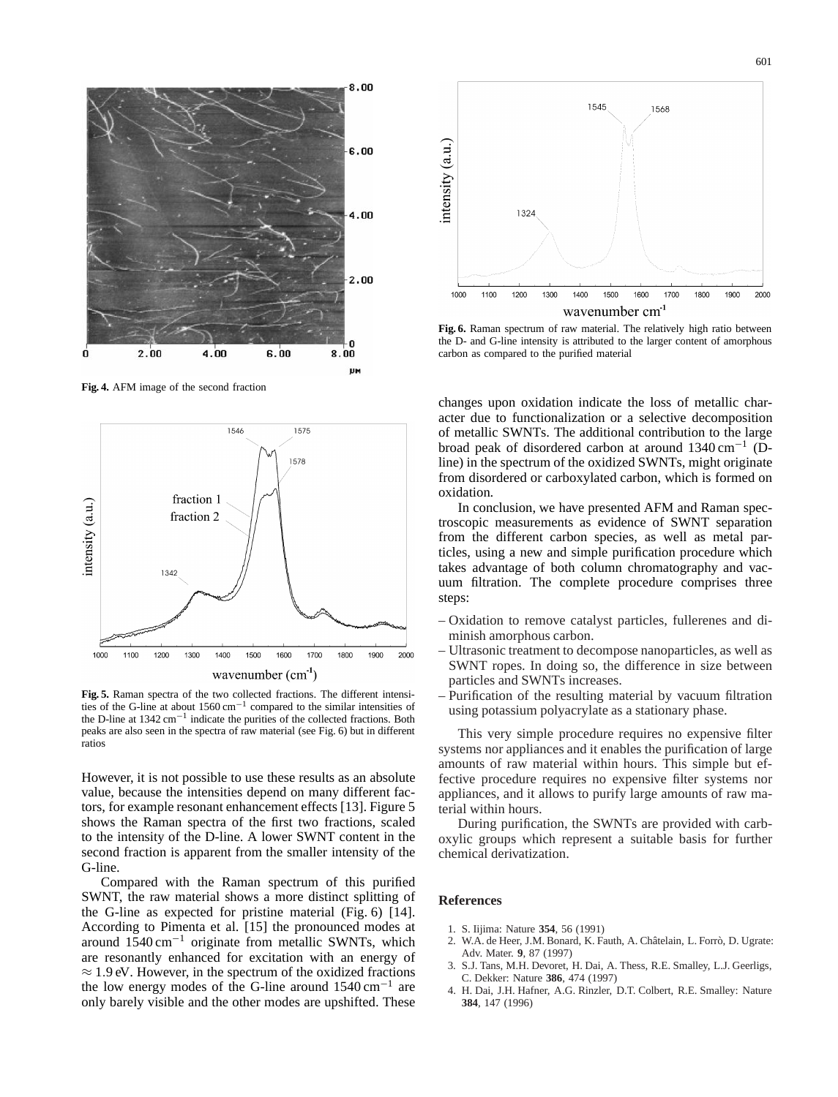

**Fig. 4.** AFM image of the second fraction



**Fig. 5.** Raman spectra of the two collected fractions. The different intensities of the G-line at about 1560 cm−<sup>1</sup> compared to the similar intensities of the D-line at 1342 cm−<sup>1</sup> indicate the purities of the collected fractions. Both peaks are also seen in the spectra of raw material (see Fig. 6) but in different ratios

However, it is not possible to use these results as an absolute value, because the intensities depend on many different factors, for example resonant enhancement effects [13]. Figure 5 shows the Raman spectra of the first two fractions, scaled to the intensity of the D-line. A lower SWNT content in the second fraction is apparent from the smaller intensity of the G-line.

Compared with the Raman spectrum of this purified SWNT, the raw material shows a more distinct splitting of the G-line as expected for pristine material (Fig. 6) [14]. According to Pimenta et al. [15] the pronounced modes at around  $1540 \text{ cm}^{-1}$  originate from metallic SWNTs, which are resonantly enhanced for excitation with an energy of  $\approx$  1.9 eV. However, in the spectrum of the oxidized fractions the low energy modes of the G-line around  $1540 \text{ cm}^{-1}$  are only barely visible and the other modes are upshifted. These



**Fig. 6.** Raman spectrum of raw material. The relatively high ratio between the D- and G-line intensity is attributed to the larger content of amorphous carbon as compared to the purified material

changes upon oxidation indicate the loss of metallic character due to functionalization or a selective decomposition of metallic SWNTs. The additional contribution to the large broad peak of disordered carbon at around 1340 cm−<sup>1</sup> (Dline) in the spectrum of the oxidized SWNTs, might originate from disordered or carboxylated carbon, which is formed on oxidation.

In conclusion, we have presented AFM and Raman spectroscopic measurements as evidence of SWNT separation from the different carbon species, as well as metal particles, using a new and simple purification procedure which takes advantage of both column chromatography and vacuum filtration. The complete procedure comprises three steps:

- Oxidation to remove catalyst particles, fullerenes and diminish amorphous carbon.
- Ultrasonic treatment to decompose nanoparticles, as well as SWNT ropes. In doing so, the difference in size between particles and SWNTs increases.
- Purification of the resulting material by vacuum filtration using potassium polyacrylate as a stationary phase.

This very simple procedure requires no expensive filter systems nor appliances and it enables the purification of large amounts of raw material within hours. This simple but effective procedure requires no expensive filter systems nor appliances, and it allows to purify large amounts of raw material within hours.

During purification, the SWNTs are provided with carboxylic groups which represent a suitable basis for further chemical derivatization.

## **References**

- 1. S. Iijima: Nature **354**, 56 (1991)
- 2. W.A. de Heer, J.M. Bonard, K. Fauth, A. Châtelain, L. Forrò, D. Ugrate: Adv. Mater. **9**, 87 (1997)
- 3. S.J. Tans, M.H. Devoret, H. Dai, A. Thess, R.E. Smalley, L.J. Geerligs, C. Dekker: Nature **386**, 474 (1997)
- 4. H. Dai, J.H. Hafner, A.G. Rinzler, D.T. Colbert, R.E. Smalley: Nature **384**, 147 (1996)